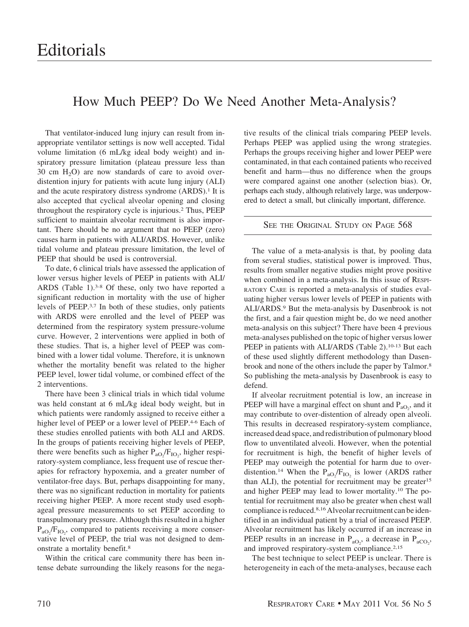## How Much PEEP? Do We Need Another Meta-Analysis?

That ventilator-induced lung injury can result from inappropriate ventilator settings is now well accepted. Tidal volume limitation (6 mL/kg ideal body weight) and inspiratory pressure limitation (plateau pressure less than 30 cm  $H_2O$  are now standards of care to avoid overdistention injury for patients with acute lung injury (ALI) and the acute respiratory distress syndrome (ARDS).<sup>1</sup> It is also accepted that cyclical alveolar opening and closing throughout the respiratory cycle is injurious.2 Thus, PEEP sufficient to maintain alveolar recruitment is also important. There should be no argument that no PEEP (zero) causes harm in patients with ALI/ARDS. However, unlike tidal volume and plateau pressure limitation, the level of PEEP that should be used is controversial.

To date, 6 clinical trials have assessed the application of lower versus higher levels of PEEP in patients with ALI/ ARDS (Table 1).3-8 Of these, only two have reported a significant reduction in mortality with the use of higher levels of PEEP.3,7 In both of these studies, only patients with ARDS were enrolled and the level of PEEP was determined from the respiratory system pressure-volume curve. However, 2 interventions were applied in both of these studies. That is, a higher level of PEEP was combined with a lower tidal volume. Therefore, it is unknown whether the mortality benefit was related to the higher PEEP level, lower tidal volume, or combined effect of the 2 interventions.

There have been 3 clinical trials in which tidal volume was held constant at 6 mL/kg ideal body weight, but in which patients were randomly assigned to receive either a higher level of PEEP or a lower level of PEEP.<sup>4-6</sup> Each of these studies enrolled patients with both ALI and ARDS. In the groups of patients receiving higher levels of PEEP, there were benefits such as higher  $P_{aO_2}/F_{IO_2}$ , higher respiratory-system compliance, less frequent use of rescue therapies for refractory hypoxemia, and a greater number of ventilator-free days. But, perhaps disappointing for many, there was no significant reduction in mortality for patients receiving higher PEEP. A more recent study used esophageal pressure measurements to set PEEP according to transpulmonary pressure. Although this resulted in a higher  $P_{aO_2}/F_{IO_2}$ , compared to patients receiving a more conservative level of PEEP, the trial was not designed to demonstrate a mortality benefit.8

Within the critical care community there has been intense debate surrounding the likely reasons for the negative results of the clinical trials comparing PEEP levels. Perhaps PEEP was applied using the wrong strategies. Perhaps the groups receiving higher and lower PEEP were contaminated, in that each contained patients who received benefit and harm—thus no difference when the groups were compared against one another (selection bias). Or, perhaps each study, although relatively large, was underpowered to detect a small, but clinically important, difference.

## SEE THE ORIGINAL STUDY ON PAGE 568

The value of a meta-analysis is that, by pooling data from several studies, statistical power is improved. Thus, results from smaller negative studies might prove positive when combined in a meta-analysis. In this issue of RESPI-RATORY CARE is reported a meta-analysis of studies evaluating higher versus lower levels of PEEP in patients with ALI/ARDS.9 But the meta-analysis by Dasenbrook is not the first, and a fair question might be, do we need another meta-analysis on this subject? There have been 4 previous meta-analyses published on the topic of higher versus lower PEEP in patients with ALI/ARDS (Table 2).<sup>10-13</sup> But each of these used slightly different methodology than Dasenbrook and none of the others include the paper by Talmor.8 So publishing the meta-analysis by Dasenbrook is easy to defend.

If alveolar recruitment potential is low, an increase in PEEP will have a marginal effect on shunt and  $P_{aO_2}$ , and it may contribute to over-distention of already open alveoli. This results in decreased respiratory-system compliance, increased dead space, and redistribution of pulmonary blood flow to unventilated alveoli. However, when the potential for recruitment is high, the benefit of higher levels of PEEP may outweigh the potential for harm due to overdistention.<sup>14</sup> When the  $P_{aO_2}/F_{IO_2}$  is lower (ARDS rather than ALI), the potential for recruitment may be greater<sup>15</sup> and higher PEEP may lead to lower mortality.10 The potential for recruitment may also be greater when chest wall compliance is reduced.<sup>8,16</sup> Alveolar recruitment can be identified in an individual patient by a trial of increased PEEP. Alveolar recruitment has likely occurred if an increase in PEEP results in an increase in  $P_{aO_2}$ , a decrease in  $P_{aCO_2}$ , and improved respiratory-system compliance.<sup>2,15</sup>

The best technique to select PEEP is unclear. There is heterogeneity in each of the meta-analyses, because each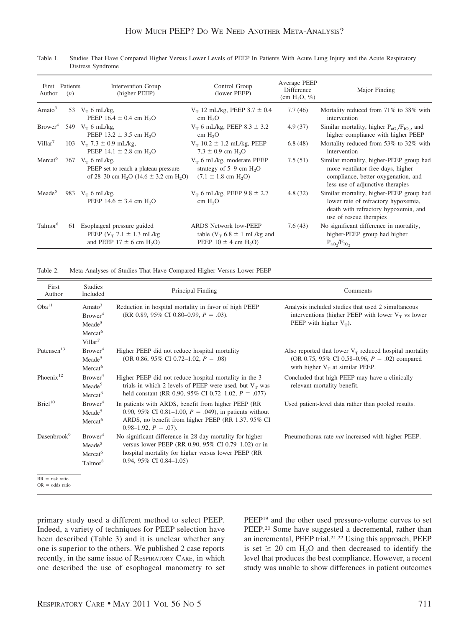| Author              | First Patients<br>(n) | Intervention Group<br>(higher PEEP)                                                                                             | Control Group<br>(lower PEEP)                                                                               | Average PEEP<br>Difference<br>(cm $H_2O$ , %) | Major Finding                                                                                                                                            |
|---------------------|-----------------------|---------------------------------------------------------------------------------------------------------------------------------|-------------------------------------------------------------------------------------------------------------|-----------------------------------------------|----------------------------------------------------------------------------------------------------------------------------------------------------------|
| Amato <sup>3</sup>  |                       | 53 $V_T$ 6 mL/kg,<br>PEEP $16.4 \pm 0.4$ cm H <sub>2</sub> O                                                                    | $V_T$ 12 mL/kg, PEEP 8.7 $\pm$ 0.4<br>cm H <sub>2</sub> O                                                   | 7.7(46)                                       | Mortality reduced from 71% to 38% with<br>intervention                                                                                                   |
| Brower <sup>4</sup> |                       | 549 $V_T$ 6 mL/kg,<br>PEEP $13.2 \pm 3.5$ cm H <sub>2</sub> O                                                                   | $V_T$ 6 mL/kg, PEEP 8.3 $\pm$ 3.2<br>cm H <sub>2</sub> O                                                    | 4.9(37)                                       | Similar mortality, higher $P_{aO} / F_{IO}$ , and<br>higher compliance with higher PEEP                                                                  |
| Villar <sup>7</sup> |                       | 103 $V_T$ 7.3 $\pm$ 0.9 mL/kg,<br>PEEP 14.1 $\pm$ 2.8 cm H <sub>2</sub> O                                                       | $V_T$ 10.2 $\pm$ 1.2 mL/kg, PEEP<br>$7.3 \pm 0.9$ cm H <sub>2</sub> O                                       | 6.8(48)                                       | Mortality reduced from 53% to 32% with<br>intervention                                                                                                   |
| Mercat <sup>6</sup> |                       | 767 $V_T$ 6 mL/kg,<br>PEEP set to reach a plateau pressure<br>of 28–30 cm H <sub>2</sub> O (14.6 $\pm$ 3.2 cm H <sub>2</sub> O) | $V_T$ 6 mL/kg, moderate PEEP<br>strategy of $5-9$ cm $H2O$<br>$(7.1 \pm 1.8 \text{ cm H}_{2}O)$             | 7.5(51)                                       | Similar mortality, higher-PEEP group had<br>more ventilator-free days, higher<br>compliance, better oxygenation, and<br>less use of adjunctive therapies |
| Meade <sup>5</sup>  |                       | 983 $V_T$ 6 mL/kg,<br>PEEP $14.6 \pm 3.4$ cm H <sub>2</sub> O                                                                   | $V_T$ 6 mL/kg, PEEP 9.8 $\pm$ 2.7<br>cm H <sub>2</sub> O                                                    | 4.8(32)                                       | Similar mortality, higher-PEEP group had<br>lower rate of refractory hypoxemia,<br>death with refractory hypoxemia, and<br>use of rescue therapies       |
| Talmor <sup>8</sup> | 61                    | Esophageal pressure guided<br>PEEP $(V_T 7.1 \pm 1.3 \text{ mL/kg})$<br>and PEEP $17 \pm 6$ cm H <sub>2</sub> O)                | <b>ARDS</b> Network low-PEEP<br>table ( $V_T$ 6.8 $\pm$ 1 mL/kg and<br>PEEP $10 \pm 4$ cm H <sub>2</sub> O) | 7.6(43)                                       | No significant difference in mortality,<br>higher-PEEP group had higher<br>$P_{aO}$ , $/$ $F_{IO}$                                                       |

Table 1. Studies That Have Compared Higher Versus Lower Levels of PEEP In Patients With Acute Lung Injury and the Acute Respiratory Distress Syndrome

Table 2. Meta-Analyses of Studies That Have Compared Higher Versus Lower PEEP

| First<br>Author                        | <b>Studies</b><br>Included                                                                                    | Principal Finding                                                                                                                                                                                  | Comments                                                                                                                                            |
|----------------------------------------|---------------------------------------------------------------------------------------------------------------|----------------------------------------------------------------------------------------------------------------------------------------------------------------------------------------------------|-----------------------------------------------------------------------------------------------------------------------------------------------------|
| Oba <sup>11</sup>                      | Amato <sup>3</sup><br>Brower <sup>4</sup><br>Meade <sup>5</sup><br>Mercat <sup>6</sup><br>Villar <sup>7</sup> | Reduction in hospital mortality in favor of high PEEP<br>(RR 0.89, 95% CI 0.80–0.99, $P = .03$ ).                                                                                                  | Analysis included studies that used 2 simultaneous<br>interventions (higher PEEP with lower $V_T$ vs lower<br>PEEP with higher $V_T$ ).             |
| Putensen <sup>13</sup>                 | Brower <sup>4</sup><br>Meade <sup>5</sup><br>Mercat <sup>6</sup>                                              | Higher PEEP did not reduce hospital mortality<br>(OR 0.86, 95% CI 0.72–1.02, $P = .08$ )                                                                                                           | Also reported that lower $V_T$ reduced hospital mortality<br>(OR 0.75, 95% CI 0.58–0.96, $P = .02$ ) compared<br>with higher $V_T$ at similar PEEP. |
| Phoenix <sup>12</sup>                  | Brower <sup>4</sup><br>Meade <sup>5</sup><br>Mercat <sup>6</sup>                                              | Higher PEEP did not reduce hospital mortality in the 3<br>trials in which 2 levels of PEEP were used, but $V_T$ was<br>held constant (RR 0.90, 95% CI 0.72–1.02, $P = .077$ )                      | Concluded that high PEEP may have a clinically<br>relevant mortality benefit.                                                                       |
| Briel <sup>10</sup>                    | Brower <sup>4</sup><br>Meade <sup>5</sup><br>Mercat <sup>6</sup>                                              | In patients with ARDS, benefit from higher PEEP (RR<br>0.90, 95% CI 0.81–1.00, $P = .049$ ), in patients without<br>ARDS, no benefit from higher PEEP (RR 1.37, 95% CI)<br>$0.98-1.92, P = .07$ ). | Used patient-level data rather than pooled results.                                                                                                 |
| Dasenbrook <sup>9</sup>                | Brower <sup>4</sup><br>Meade <sup>5</sup><br>Mercat <sup>6</sup><br>Talmor <sup>8</sup>                       | No significant difference in 28-day mortality for higher<br>versus lower PEEP (RR 0.90, 95% CI 0.79–1.02) or in<br>hospital mortality for higher versus lower PEEP (RR<br>0.94, 95% CI 0.84-1.05)  | Pneumothorax rate <i>not</i> increased with higher PEEP.                                                                                            |
| $RR = risk ratio$<br>$OR = odds ratio$ |                                                                                                               |                                                                                                                                                                                                    |                                                                                                                                                     |

primary study used a different method to select PEEP. Indeed, a variety of techniques for PEEP selection have been described (Table 3) and it is unclear whether any one is superior to the others. We published 2 case reports recently, in the same issue of RESPIRATORY CARE, in which one described the use of esophageal manometry to set PEEP19 and the other used pressure-volume curves to set PEEP.<sup>20</sup> Some have suggested a decremental, rather than an incremental, PEEP trial.21,22 Using this approach, PEEP is set  $\geq 20$  cm H<sub>2</sub>O and then decreased to identify the level that produces the best compliance. However, a recent study was unable to show differences in patient outcomes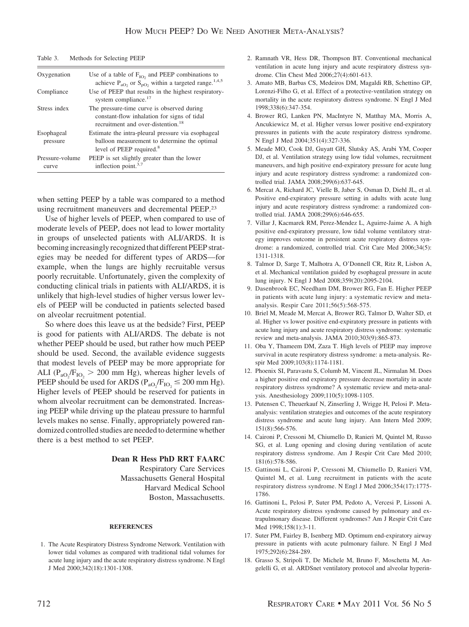| Table 3. |  |  | Methods for Selecting PEEP |  |
|----------|--|--|----------------------------|--|
|----------|--|--|----------------------------|--|

| Oxygenation              | Use of a table of $F_{IO}$ and PEEP combinations to<br>achieve $P_{aO_2}$ or $S_{pO_2}$ within a targeted range. <sup>1,4,5</sup>           |
|--------------------------|---------------------------------------------------------------------------------------------------------------------------------------------|
| Compliance               | Use of PEEP that results in the highest respiratory-<br>system compliance. <sup>17</sup>                                                    |
| Stress index             | The pressure-time curve is observed during<br>constant-flow inhalation for signs of tidal<br>recruitment and over-distention. <sup>18</sup> |
| Esophageal<br>pressure   | Estimate the intra-pleural pressure via esophageal<br>balloon measurement to determine the optimal<br>level of PEEP required. <sup>8</sup>  |
| Pressure-volume<br>curve | PEEP is set slightly greater than the lower<br>inflection point. $3,7$                                                                      |

when setting PEEP by a table was compared to a method using recruitment maneuvers and decremental PEEP.23

Use of higher levels of PEEP, when compared to use of moderate levels of PEEP, does not lead to lower mortality in groups of unselected patients with ALI/ARDS. It is becoming increasingly recognized that different PEEP strategies may be needed for different types of ARDS—for example, when the lungs are highly recruitable versus poorly recruitable. Unfortunately, given the complexity of conducting clinical trials in patients with ALI/ARDS, it is unlikely that high-level studies of higher versus lower levels of PEEP will be conducted in patients selected based on alveolar recruitment potential.

So where does this leave us at the bedside? First, PEEP is good for patients with ALI/ARDS. The debate is not whether PEEP should be used, but rather how much PEEP should be used. Second, the available evidence suggests that modest levels of PEEP may be more appropriate for ALI ( $P_{aO_2}/F_{IO_2}$  > 200 mm Hg), whereas higher levels of PEEP should be used for ARDS ( $P_{aO_2}/F_{IO_2} \le 200$  mm Hg). Higher levels of PEEP should be reserved for patients in whom alveolar recruitment can be demonstrated. Increasing PEEP while driving up the plateau pressure to harmful levels makes no sense. Finally, appropriately powered randomized controlled studies are needed to determine whether there is a best method to set PEEP.

## **Dean R Hess PhD RRT FAARC**

Respiratory Care Services Massachusetts General Hospital Harvard Medical School Boston, Massachusetts.

## **REFERENCES**

1. The Acute Respiratory Distress Syndrome Network. Ventilation with lower tidal volumes as compared with traditional tidal volumes for acute lung injury and the acute respiratory distress syndrome. N Engl J Med 2000;342(18):1301-1308.

- 2. Ramnath VR, Hess DR, Thompson BT. Conventional mechanical ventilation in acute lung injury and acute respiratory distress syndrome. Clin Chest Med 2006;27(4):601-613.
- 3. Amato MB, Barbas CS, Medeiros DM, Magaldi RB, Schettino GP, Lorenzi-Filho G, et al. Effect of a protective-ventilation strategy on mortality in the acute respiratory distress syndrome. N Engl J Med 1998;338(6):347-354.
- 4. Brower RG, Lanken PN, MacIntyre N, Matthay MA, Morris A, Ancukiewicz M, et al. Higher versus lower positive end-expiratory pressures in patients with the acute respiratory distress syndrome. N Engl J Med 2004;351(4):327-336.
- 5. Meade MO, Cook DJ, Guyatt GH, Slutsky AS, Arabi YM, Cooper DJ, et al. Ventilation strategy using low tidal volumes, recruitment maneuvers, and high positive end-expiratory pressure for acute lung injury and acute respiratory distress syndrome: a randomized controlled trial. JAMA 2008;299(6):637-645.
- 6. Mercat A, Richard JC, Vielle B, Jaber S, Osman D, Diehl JL, et al. Positive end-expiratory pressure setting in adults with acute lung injury and acute respiratory distress syndrome: a randomized controlled trial. JAMA 2008;299(6):646-655.
- 7. Villar J, Kacmarek RM, Perez-Mendez L, Aguirre-Jaime A. A high positive end-expiratory pressure, low tidal volume ventilatory strategy improves outcome in persistent acute respiratory distress syndrome: a randomized, controlled trial. Crit Care Med 2006;34(5): 1311-1318.
- 8. Talmor D, Sarge T, Malhotra A, O'Donnell CR, Ritz R, Lisbon A, et al. Mechanical ventilation guided by esophageal pressure in acute lung injury. N Engl J Med 2008;359(20):2095-2104.
- 9. Dasenbrook EC, Needham DM, Brower RG, Fan E. Higher PEEP in patients with acute lung injury: a systematic review and metaanalysis. Respir Care 2011;56(5):568-575.
- 10. Briel M, Meade M, Mercat A, Brower RG, Talmor D, Walter SD, et al. Higher vs lower positive end-expiratory pressure in patients with acute lung injury and acute respiratory distress syndrome: systematic review and meta-analysis. JAMA 2010;303(9):865-873.
- 11. Oba Y, Thameem DM, Zaza T. High levels of PEEP may improve survival in acute respiratory distress syndrome: a meta-analysis. Respir Med 2009;103(8):1174-1181.
- 12. Phoenix SI, Paravastu S, Columb M, Vincent JL, Nirmalan M. Does a higher positive end expiratory pressure decrease mortality in acute respiratory distress syndrome? A systematic review and meta-analysis. Anesthesiology 2009;110(5):1098-1105.
- 13. Putensen C, Theuerkauf N, Zinserling J, Wrigge H, Pelosi P. Metaanalysis: ventilation strategies and outcomes of the acute respiratory distress syndrome and acute lung injury. Ann Intern Med 2009; 151(8):566-576.
- 14. Caironi P, Cressoni M, Chiumello D, Ranieri M, Quintel M, Russo SG, et al. Lung opening and closing during ventilation of acute respiratory distress syndrome. Am J Respir Crit Care Med 2010; 181(6):578-586.
- 15. Gattinoni L, Caironi P, Cressoni M, Chiumello D, Ranieri VM, Quintel M, et al. Lung recruitment in patients with the acute respiratory distress syndrome. N Engl J Med 2006;354(17):1775- 1786.
- 16. Gattinoni L, Pelosi P, Suter PM, Pedoto A, Vercesi P, Lissoni A. Acute respiratory distress syndrome caused by pulmonary and extrapulmonary disease. Different syndromes? Am J Respir Crit Care Med 1998;158(1):3-11.
- 17. Suter PM, Fairley B, Isenberg MD. Optimum end-expiratory airway pressure in patients with acute pulmonary failure. N Engl J Med 1975;292(6):284-289.
- 18. Grasso S, Stripoli T, De Michele M, Bruno F, Moschetta M, Angelelli G, et al. ARDSnet ventilatory protocol and alveolar hyperin-